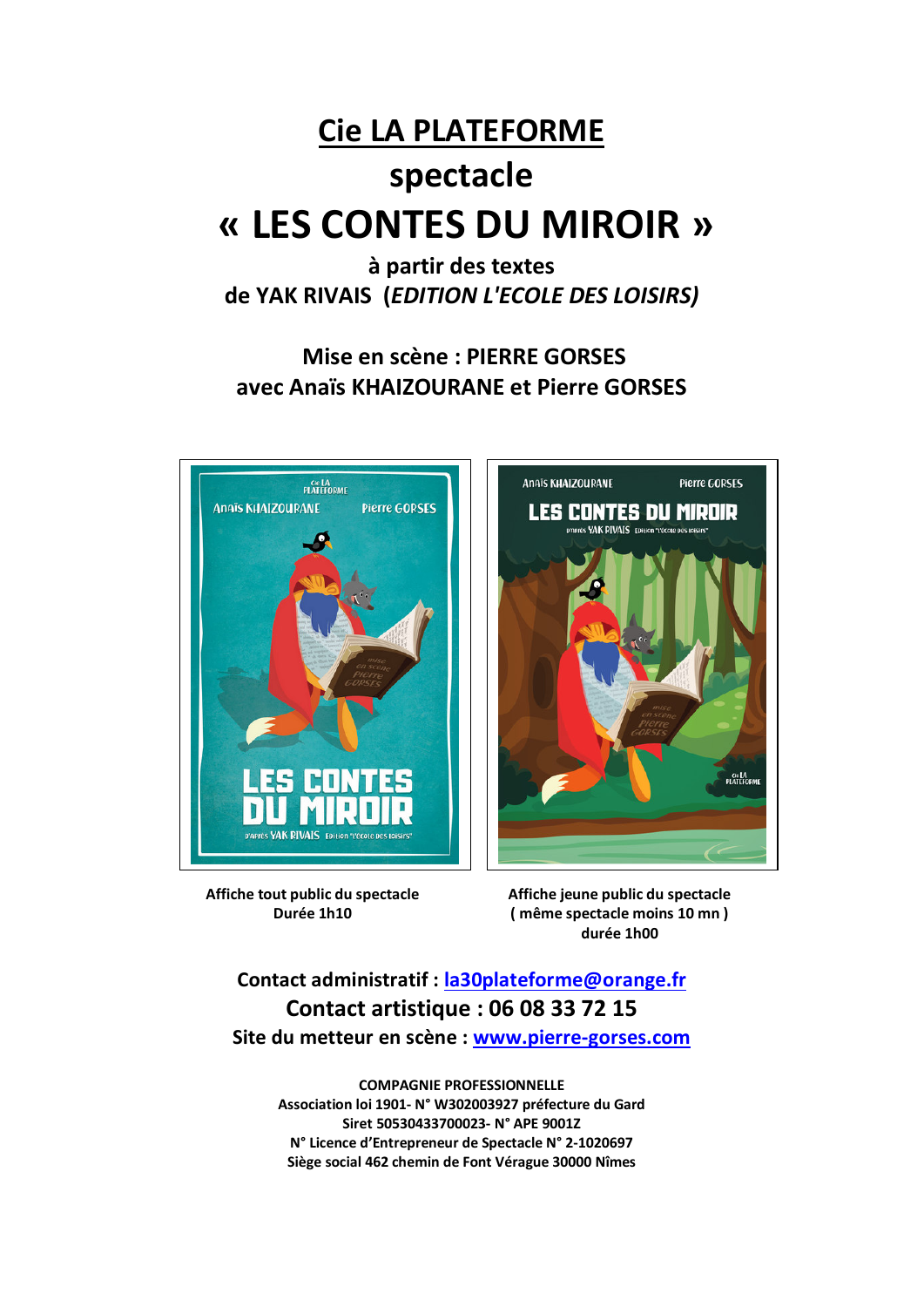## **Cie LA PLATEFORME**

# spectacle « LES CONTES DU MIROIR »

à partir des textes de YAK RIVAIS (EDITION L'ECOLE DES LOISIRS)

Mise en scène : PIERRE GORSES avec Anaïs KHAIZOURANE et Pierre GORSES



Affiche tout public du spectacle Durée 1h10

Affiche jeune public du spectacle (même spectacle moins 10 mn) durée 1h00

Contact administratif : la30plateforme@orange.fr **Contact artistique: 06 08 33 72 15** Site du metteur en scène : www.pierre-gorses.com

**COMPAGNIE PROFESSIONNELLE** Association loi 1901- N° W302003927 préfecture du Gard Siret 50530433700023- N° APE 9001Z N° Licence d'Entrepreneur de Spectacle N° 2-1020697 Siège social 462 chemin de Font Vérague 30000 Nîmes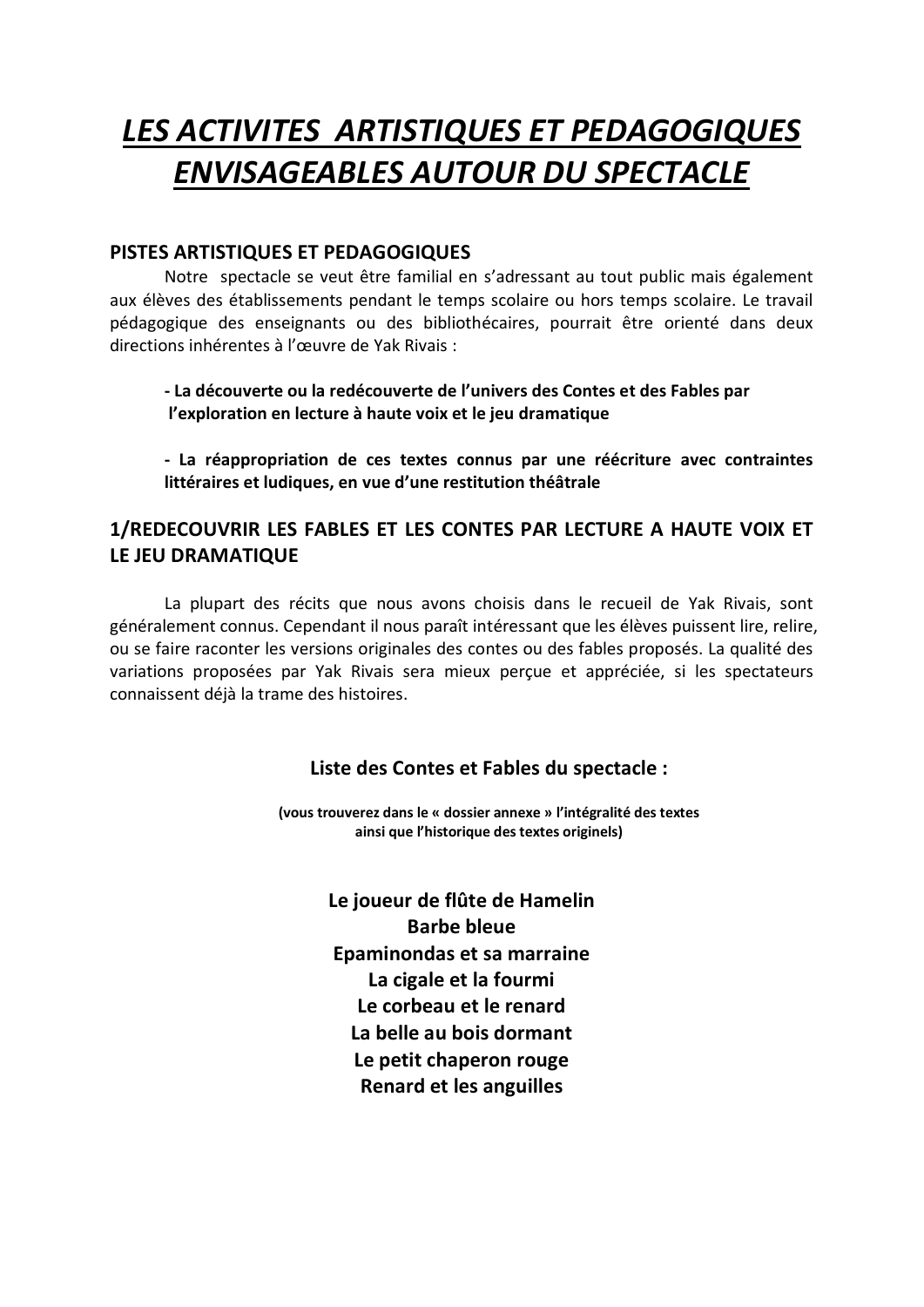## **LES ACTIVITES ARTISTIQUES ET PEDAGOGIQUES ENVISAGEABLES AUTOUR DU SPECTACLE**

### PISTES ARTISTIQUES ET PEDAGOGIQUES

Notre spectacle se veut être familial en s'adressant au tout public mais également aux élèves des établissements pendant le temps scolaire ou hors temps scolaire. Le travail pédagogique des enseignants ou des bibliothécaires, pourrait être orienté dans deux directions inhérentes à l'œuvre de Yak Rivais :

- La découverte ou la redécouverte de l'univers des Contes et des Fables par l'exploration en lecture à haute voix et le jeu dramatique

- La réappropriation de ces textes connus par une réécriture avec contraintes littéraires et ludiques, en vue d'une restitution théâtrale

## 1/REDECOUVRIR LES FABLES ET LES CONTES PAR LECTURE A HAUTE VOIX ET LE JEU DRAMATIQUE

La plupart des récits que nous avons choisis dans le recueil de Yak Rivais, sont généralement connus. Cependant il nous paraît intéressant que les élèves puissent lire, relire, ou se faire raconter les versions originales des contes ou des fables proposés. La qualité des variations proposées par Yak Rivais sera mieux percue et appréciée, si les spectateurs connaissent déjà la trame des histoires.

### Liste des Contes et Fables du spectacle :

(vous trouverez dans le « dossier annexe » l'intégralité des textes ainsi que l'historique des textes originels)

> Le joueur de flûte de Hamelin **Barbe bleue** Epaminondas et sa marraine La cigale et la fourmi Le corbeau et le renard La belle au bois dormant Le petit chaperon rouge **Renard et les anguilles**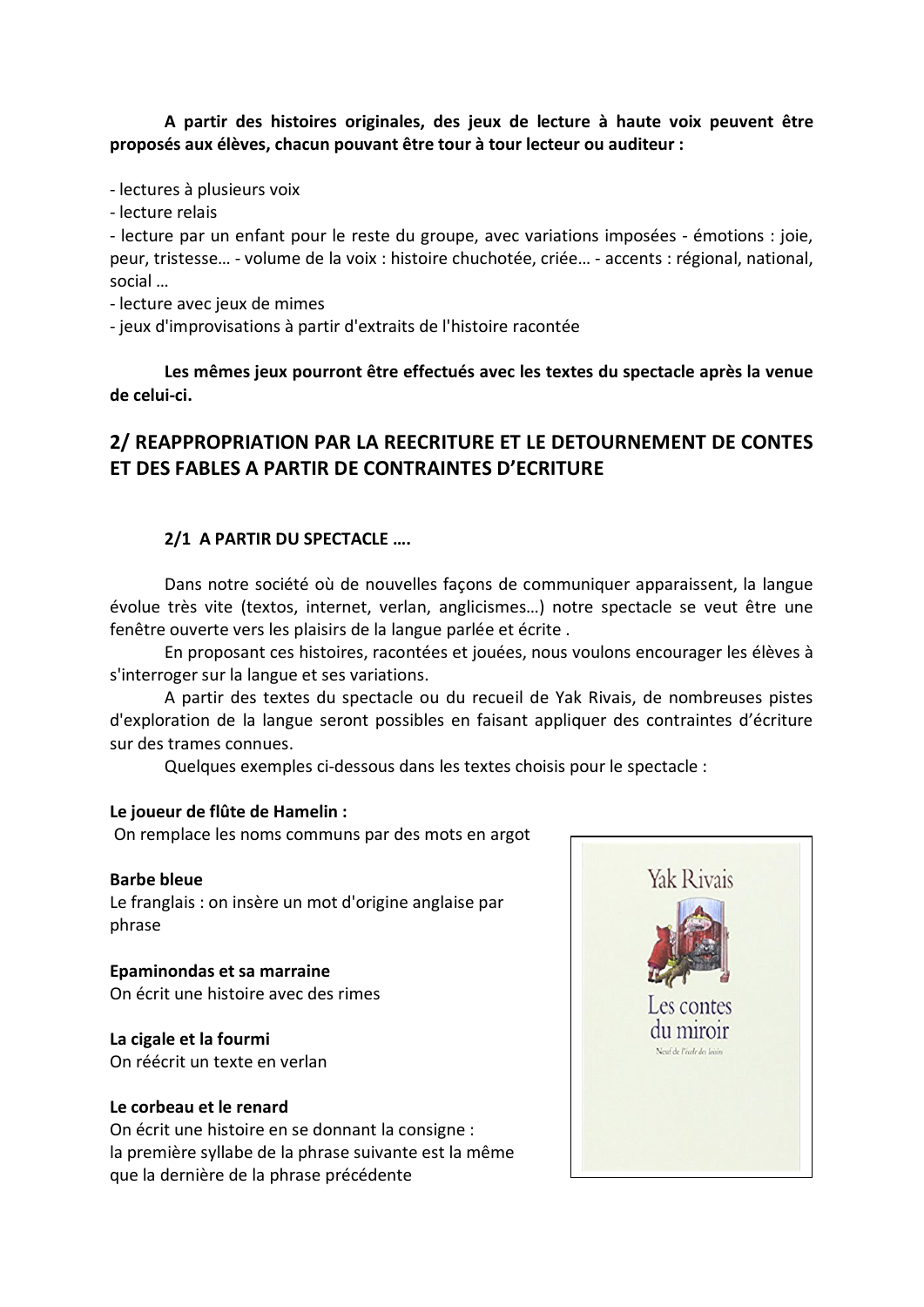#### A partir des histoires originales, des jeux de lecture à haute voix peuvent être proposés aux élèves, chacun pouvant être tour à tour lecteur ou auditeur :

- lectures à plusieurs voix

- lecture relais

- lecture par un enfant pour le reste du groupe, avec variations imposées - émotions : joie, peur, tristesse... - volume de la voix : histoire chuchotée, criée... - accents : régional, national, social ...

- lecture avec jeux de mimes

- jeux d'improvisations à partir d'extraits de l'histoire racontée

Les mêmes jeux pourront être effectués avec les textes du spectacle après la venue de celui-ci.

## 2/ REAPPROPRIATION PAR LA REECRITURE ET LE DETOURNEMENT DE CONTES ET DES FABLES A PARTIR DE CONTRAINTES D'ECRITURE

#### 2/1 A PARTIR DU SPECTACLE ....

Dans notre société où de nouvelles façons de communiquer apparaissent, la langue évolue très vite (textos, internet, verlan, anglicismes...) notre spectacle se veut être une fenêtre ouverte vers les plaisirs de la langue parlée et écrite.

En proposant ces histoires, racontées et jouées, nous voulons encourager les élèves à s'interroger sur la langue et ses variations.

A partir des textes du spectacle ou du recueil de Yak Rivais, de nombreuses pistes d'exploration de la langue seront possibles en faisant appliquer des contraintes d'écriture sur des trames connues.

Quelques exemples ci-dessous dans les textes choisis pour le spectacle :

#### Le joueur de flûte de Hamelin :

On remplace les noms communs par des mots en argot

#### **Barbe bleue**

Le franglais : on insère un mot d'origine anglaise par phrase

Epaminondas et sa marraine On écrit une histoire avec des rimes

#### La cigale et la fourmi

On réécrit un texte en verlan

#### Le corbeau et le renard

On écrit une histoire en se donnant la consigne : la première syllabe de la phrase suivante est la même que la dernière de la phrase précédente

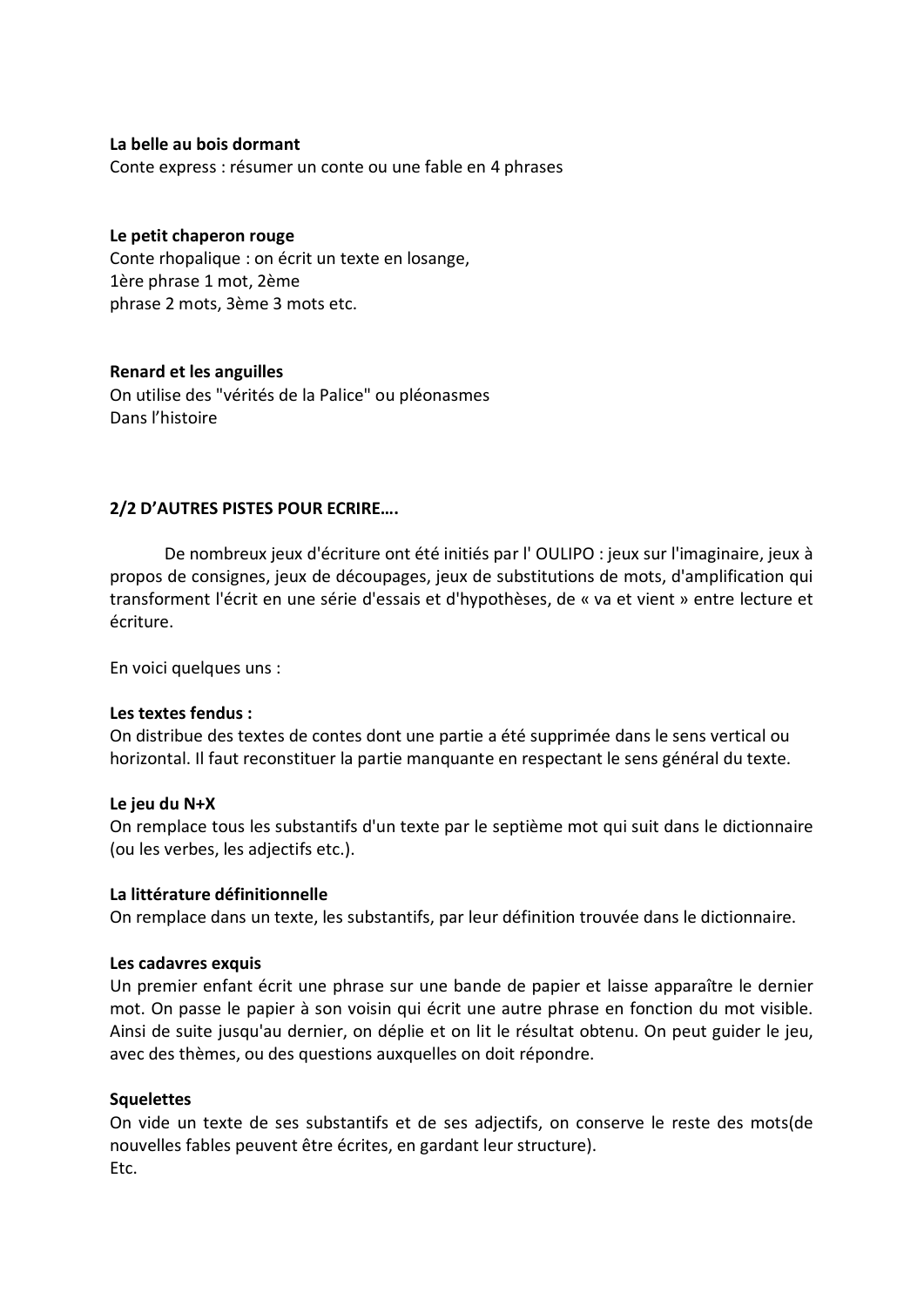#### La belle au bois dormant

Conte express : résumer un conte ou une fable en 4 phrases

#### Le petit chaperon rouge

Conte rhopalique : on écrit un texte en losange, 1ère phrase 1 mot. 2ème phrase 2 mots, 3ème 3 mots etc.

#### **Renard et les anguilles**

On utilise des "vérités de la Palice" ou pléonasmes Dans l'histoire

#### 2/2 D'AUTRES PISTES POUR ECRIRE....

De nombreux jeux d'écriture ont été initiés par l'OULIPO : jeux sur l'imaginaire, jeux à propos de consignes, jeux de découpages, jeux de substitutions de mots, d'amplification qui transforment l'écrit en une série d'essais et d'hypothèses, de « va et vient » entre lecture et écriture.

En voici quelques uns :

#### Les textes fendus :

On distribue des textes de contes dont une partie a été supprimée dans le sens vertical ou horizontal. Il faut reconstituer la partie manguante en respectant le sens général du texte.

#### Le jeu du N+X

On remplace tous les substantifs d'un texte par le septième mot qui suit dans le dictionnaire (ou les verbes, les adjectifs etc.).

#### La littérature définitionnelle

On remplace dans un texte, les substantifs, par leur définition trouvée dans le dictionnaire.

#### Les cadavres exquis

Un premier enfant écrit une phrase sur une bande de papier et laisse apparaître le dernier mot. On passe le papier à son voisin qui écrit une autre phrase en fonction du mot visible. Ainsi de suite jusqu'au dernier, on déplie et on lit le résultat obtenu. On peut guider le jeu, avec des thèmes, ou des questions auxquelles on doit répondre.

#### **Squelettes**

On vide un texte de ses substantifs et de ses adjectifs, on conserve le reste des mots(de nouvelles fables peuvent être écrites, en gardant leur structure). Etc.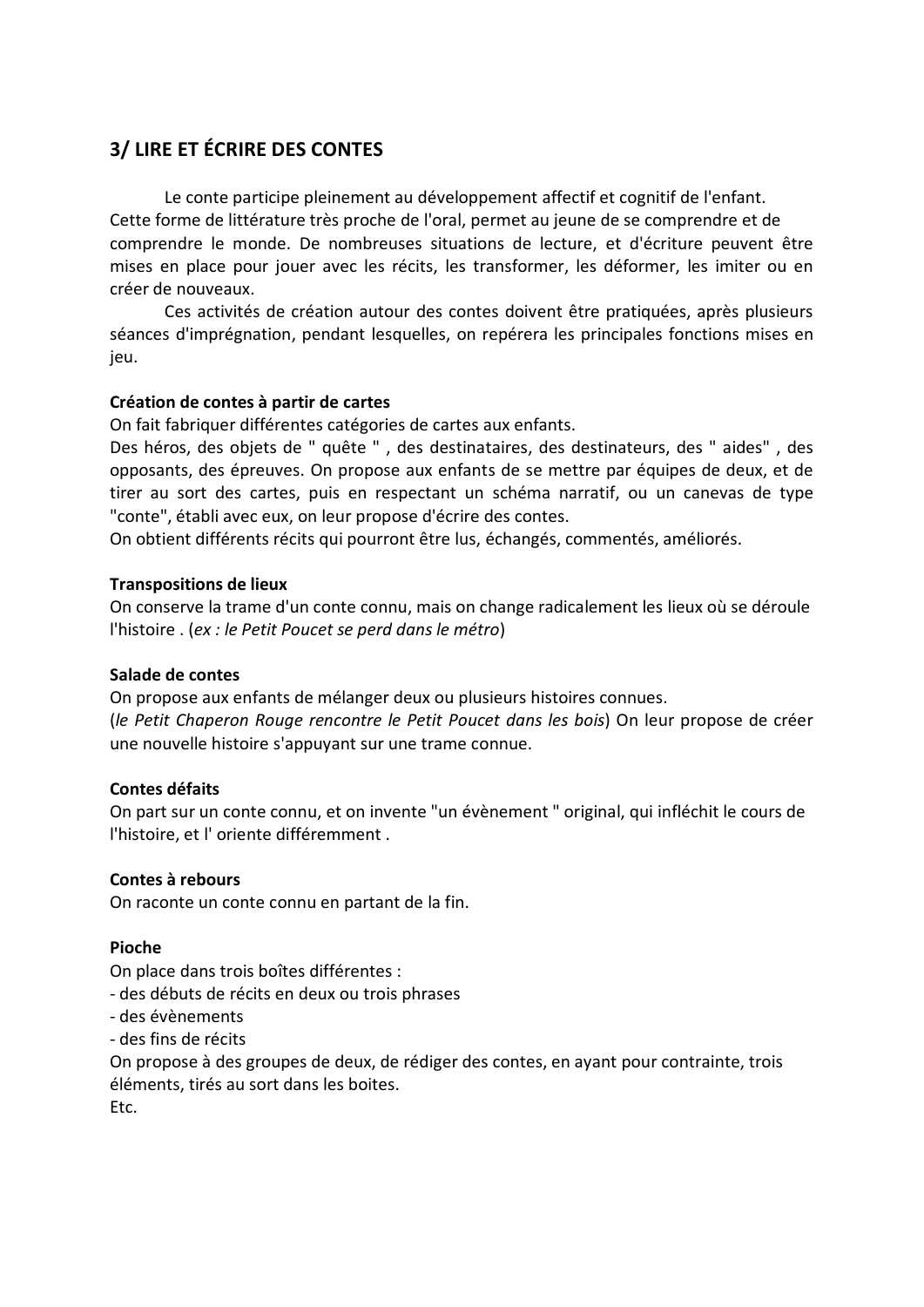## 3/ LIRE ET ÉCRIRE DES CONTES

Le conte participe pleinement au développement affectif et cognitif de l'enfant. Cette forme de littérature très proche de l'oral, permet au jeune de se comprendre et de comprendre le monde. De nombreuses situations de lecture, et d'écriture peuvent être mises en place pour jouer avec les récits, les transformer, les déformer, les imiter ou en créer de nouveaux.

Ces activités de création autour des contes doivent être pratiquées, après plusieurs séances d'imprégnation, pendant lesquelles, on repérera les principales fonctions mises en jeu.

#### Création de contes à partir de cartes

On fait fabriquer différentes catégories de cartes aux enfants.

Des héros, des objets de " quête ", des destinataires, des destinateurs, des " aides", des opposants, des épreuves. On propose aux enfants de se mettre par équipes de deux, et de tirer au sort des cartes, puis en respectant un schéma narratif, ou un canevas de type "conte", établi avec eux, on leur propose d'écrire des contes.

On obtient différents récits qui pourront être lus, échangés, commentés, améliorés.

#### **Transpositions de lieux**

On conserve la trame d'un conte connu, mais on change radicalement les lieux où se déroule l'histoire . (ex : le Petit Poucet se perd dans le métro)

#### Salade de contes

On propose aux enfants de mélanger deux ou plusieurs histoires connues. (le Petit Chaperon Rouge rencontre le Petit Poucet dans les bois) On leur propose de créer une nouvelle histoire s'appuyant sur une trame connue.

#### Contes défaits

On part sur un conte connu, et on invente "un évènement " original, qui infléchit le cours de l'histoire, et l'oriente différemment.

#### Contes à rebours

On raconte un conte connu en partant de la fin.

#### Pioche

On place dans trois boîtes différentes :

- des débuts de récits en deux ou trois phrases

- des évènements

- des fins de récits

On propose à des groupes de deux, de rédiger des contes, en ayant pour contrainte, trois éléments, tirés au sort dans les boites.

Etc.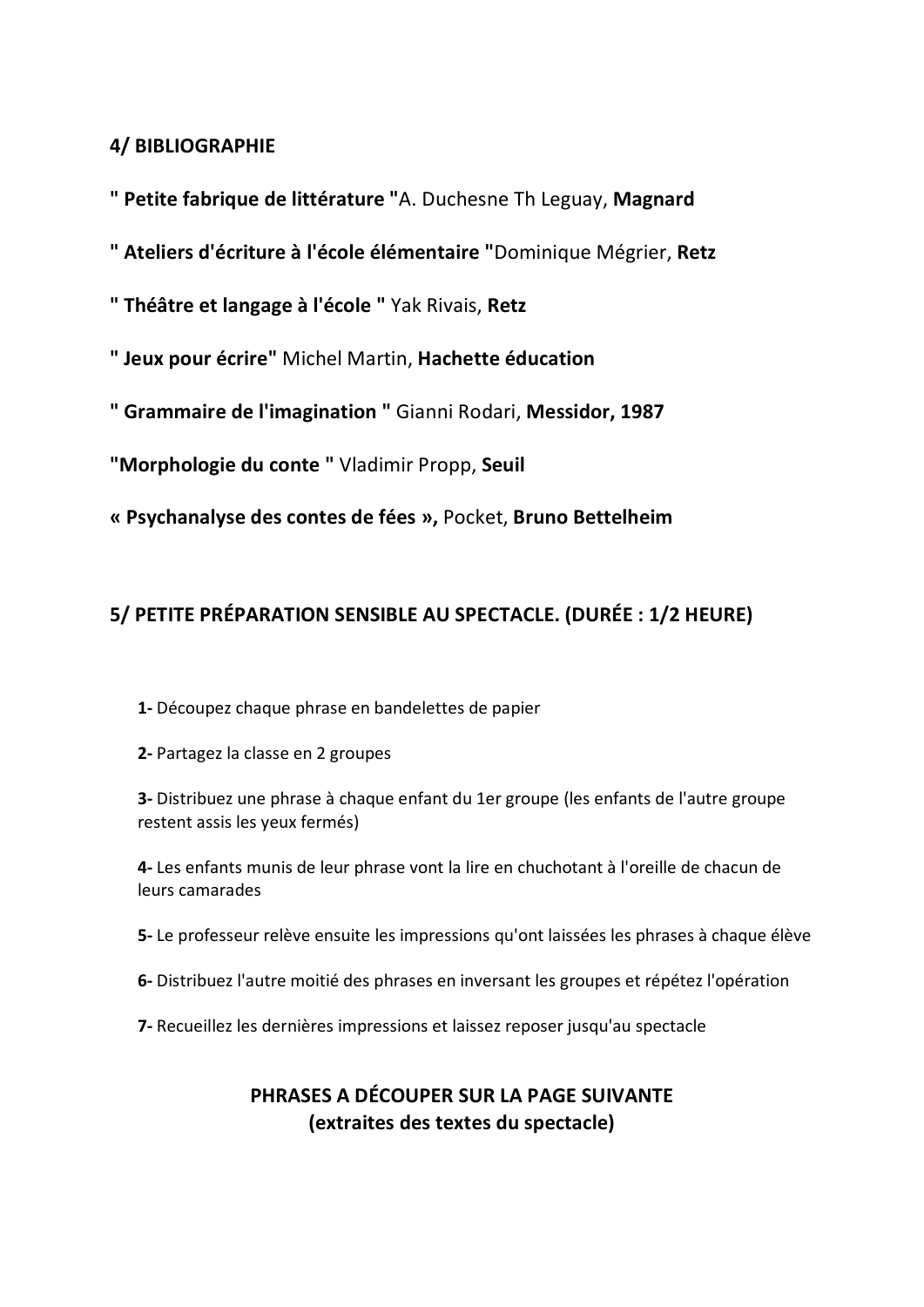## **4/ BIBLIOGRAPHIE**

" Petite fabrique de littérature "A. Duchesne Th Leguay, Magnard

- " Ateliers d'écriture à l'école élémentaire "Dominique Mégrier, Retz
- "Théâtre et langage à l'école "Yak Rivais, Retz
- " Jeux pour écrire" Michel Martin, Hachette éducation
- " Grammaire de l'imagination " Gianni Rodari, Messidor, 1987
- "Morphologie du conte " Vladimir Propp, Seuil
- « Psychanalyse des contes de fées », Pocket, Bruno Bettelheim

## 5/ PETITE PRÉPARATION SENSIBLE AU SPECTACLE. (DURÉE : 1/2 HEURE)

- 1- Découpez chaque phrase en bandelettes de papier
- 2- Partagez la classe en 2 groupes

3- Distribuez une phrase à chaque enfant du 1er groupe (les enfants de l'autre groupe restent assis les yeux fermés)

4- Les enfants munis de leur phrase vont la lire en chuchotant à l'oreille de chacun de leurs camarades

- 5-Le professeur relève ensuite les impressions qu'ont laissées les phrases à chaque élève
- 6- Distribuez l'autre moitié des phrases en inversant les groupes et répétez l'opération
- 7- Recueillez les dernières impressions et laissez reposer jusqu'au spectacle

## PHRASES A DÉCOUPER SUR LA PAGE SUIVANTE (extraites des textes du spectacle)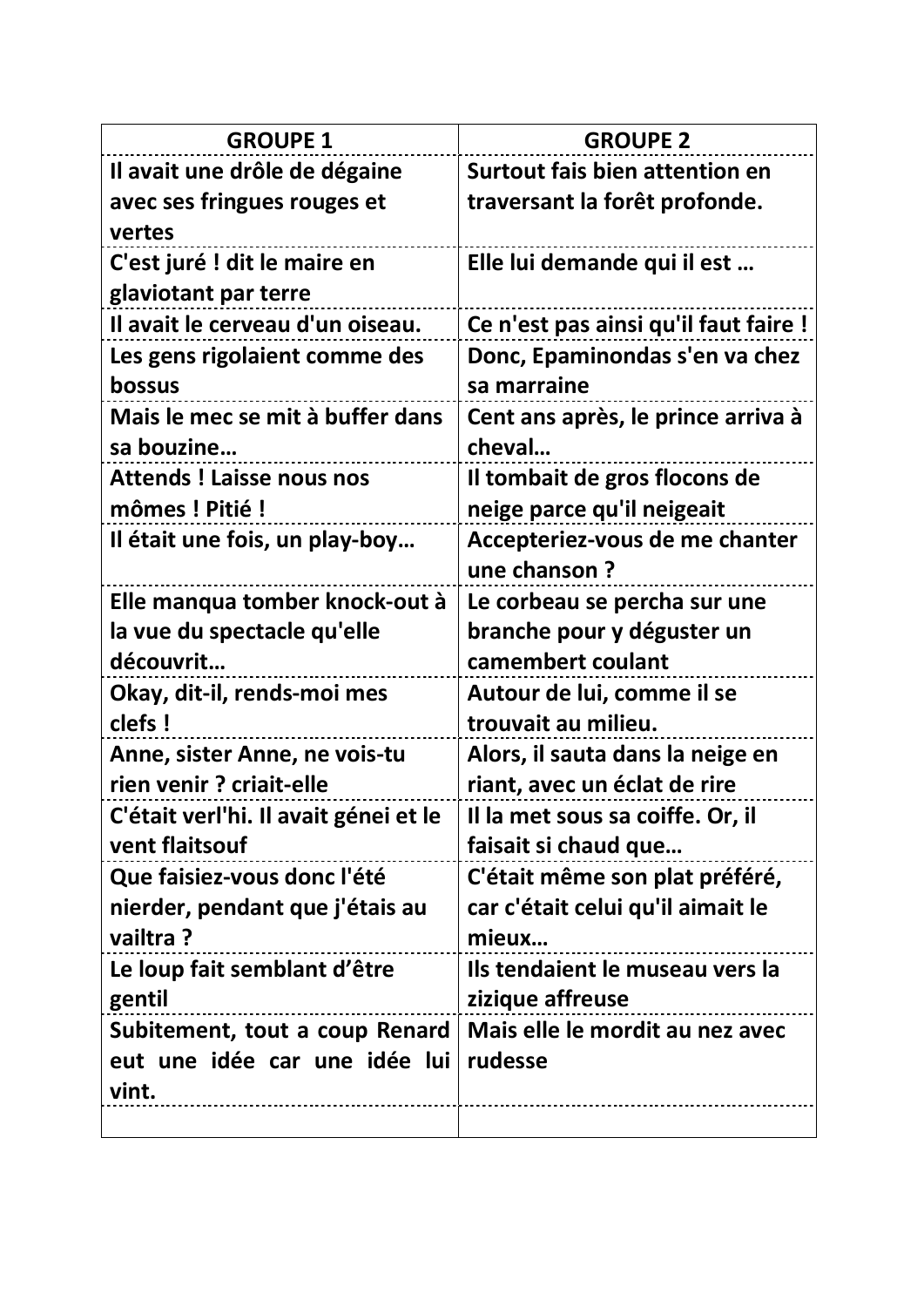| <b>GROUPE 1</b>                       | <b>GROUPE 2</b>                       |
|---------------------------------------|---------------------------------------|
| Il avait une drôle de dégaine         | Surtout fais bien attention en        |
| avec ses fringues rouges et           | traversant la forêt profonde.         |
| vertes                                |                                       |
| C'est juré ! dit le maire en          | Elle lui demande qui il est           |
| glaviotant par terre                  |                                       |
| Il avait le cerveau d'un oiseau.      | Ce n'est pas ainsi qu'il faut faire ! |
| Les gens rigolaient comme des         | Donc, Epaminondas s'en va chez        |
| bossus                                | sa marraine                           |
| Mais le mec se mit à buffer dans      | Cent ans après, le prince arriva à    |
| sa bouzine                            | cheval                                |
| <b>Attends ! Laisse nous nos</b>      | Il tombait de gros flocons de         |
| mômes ! Pitié !                       | neige parce qu'il neigeait            |
| Il était une fois, un play-boy        | Accepteriez-vous de me chanter        |
|                                       | une chanson?                          |
| Elle manqua tomber knock-out à        | Le corbeau se percha sur une          |
| la vue du spectacle qu'elle           | branche pour y déguster un            |
| découvrit                             | camembert coulant                     |
| Okay, dit-il, rends-moi mes           | Autour de lui, comme il se            |
| clefs !                               | trouvait au milieu.                   |
| Anne, sister Anne, ne vois-tu         | Alors, il sauta dans la neige en      |
| rien venir ? criait-elle              | riant, avec un éclat de rire          |
| C'était verl'hi. Il avait génei et le | Il la met sous sa coiffe. Or, il      |
| vent flaitsouf                        | faisait si chaud que                  |
| Que faisiez-vous donc l'été           | C'était même son plat préféré,        |
| nierder, pendant que j'étais au       | car c'était celui qu'il aimait le     |
| vailtra?                              | mieux                                 |
| Le loup fait semblant d'être          | Ils tendaient le museau vers la       |
| gentil                                | zizique affreuse                      |
| Subitement, tout a coup Renard        | Mais elle le mordit au nez avec       |
| eut une idée car une idée lui         | rudesse                               |
| vint.                                 |                                       |
|                                       |                                       |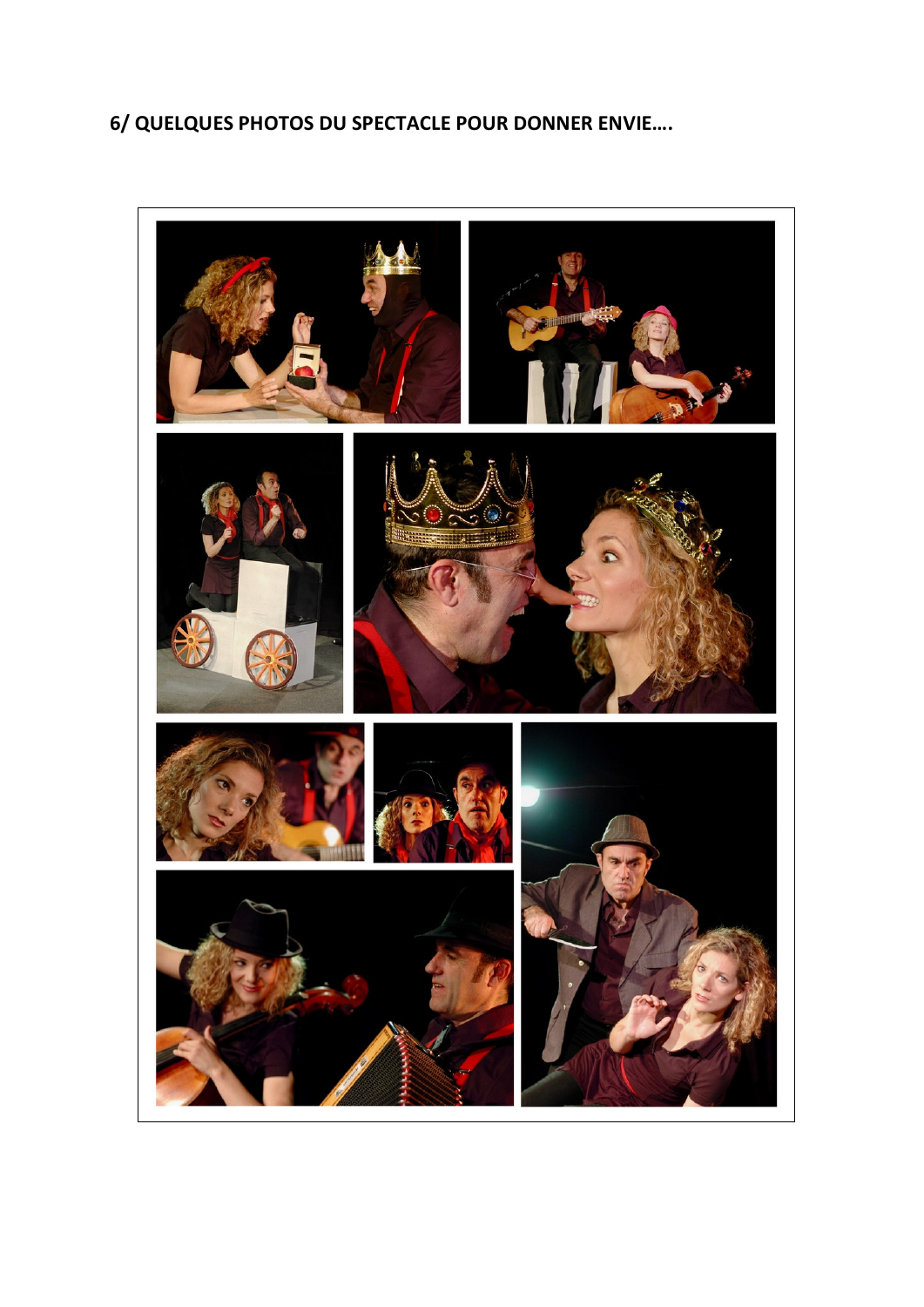## 6/ QUELQUES PHOTOS DU SPECTACLE POUR DONNER ENVIE....